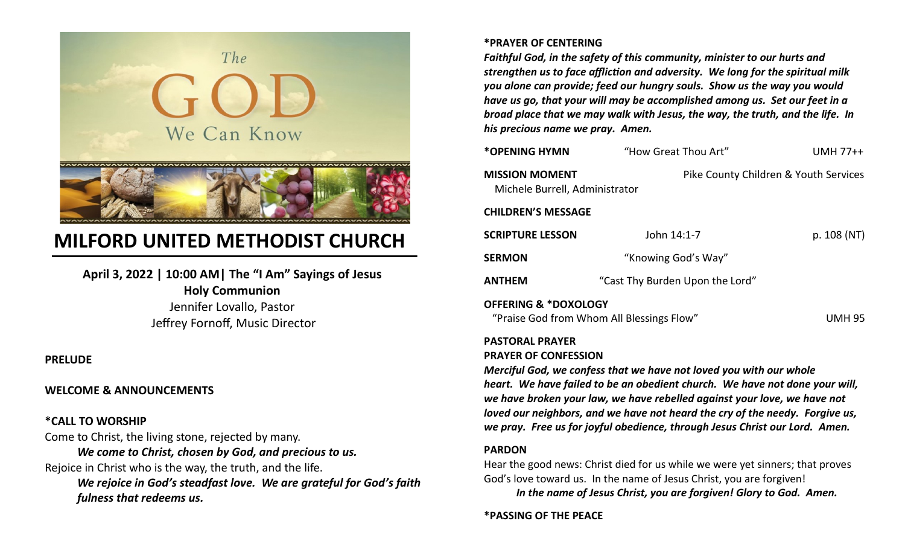

# **MILFORD UNITED METHODIST CHURCH**

**April 3, 2022 | 10:00 AM| The "I Am" Sayings of Jesus Holy Communion** Jennifer Lovallo, Pastor Jeffrey Fornoff, Music Director

### **PRELUDE**

### **WELCOME & ANNOUNCEMENTS**

### **\*CALL TO WORSHIP**

Come to Christ, the living stone, rejected by many.

*We come to Christ, chosen by God, and precious to us.*

Rejoice in Christ who is the way, the truth, and the life.

*We rejoice in God's steadfast love. We are grateful for God's faith fulness that redeems us.*

### **\*PRAYER OF CENTERING**

*Faithful God, in the safety of this community, minister to our hurts and strengthen us to face affliction and adversity. We long for the spiritual milk you alone can provide; feed our hungry souls. Show us the way you would have us go, that your will may be accomplished among us. Set our feet in a broad place that we may walk with Jesus, the way, the truth, and the life. In his precious name we pray. Amen.*

| *OPENING HYMN                                                                          | "How Great Thou Art"                                                    | UMH 77++    |
|----------------------------------------------------------------------------------------|-------------------------------------------------------------------------|-------------|
| <b>MISSION MOMENT</b>                                                                  | Pike County Children & Youth Services<br>Michele Burrell, Administrator |             |
| <b>CHILDREN'S MESSAGE</b>                                                              |                                                                         |             |
| <b>SCRIPTURE LESSON</b>                                                                | John 14:1-7                                                             | p. 108 (NT) |
| <b>SERMON</b>                                                                          | "Knowing God's Way"                                                     |             |
| <b>ANTHEM</b>                                                                          | "Cast Thy Burden Upon the Lord"                                         |             |
| <b>OFFERING &amp; *DOXOLOGY</b><br>"Praise God from Whom All Blessings Flow"<br>UMH 95 |                                                                         |             |

### **PASTORAL PRAYER**

### **PRAYER OF CONFESSION**

*Merciful God, we confess that we have not loved you with our whole heart. We have failed to be an obedient church. We have not done your will, we have broken your law, we have rebelled against your love, we have not loved our neighbors, and we have not heard the cry of the needy. Forgive us, we pray. Free us for joyful obedience, through Jesus Christ our Lord. Amen.*

### **PARDON**

Hear the good news: Christ died for us while we were yet sinners; that proves God's love toward us. In the name of Jesus Christ, you are forgiven!

*In the name of Jesus Christ, you are forgiven! Glory to God. Amen.*

**\*PASSING OF THE PEACE**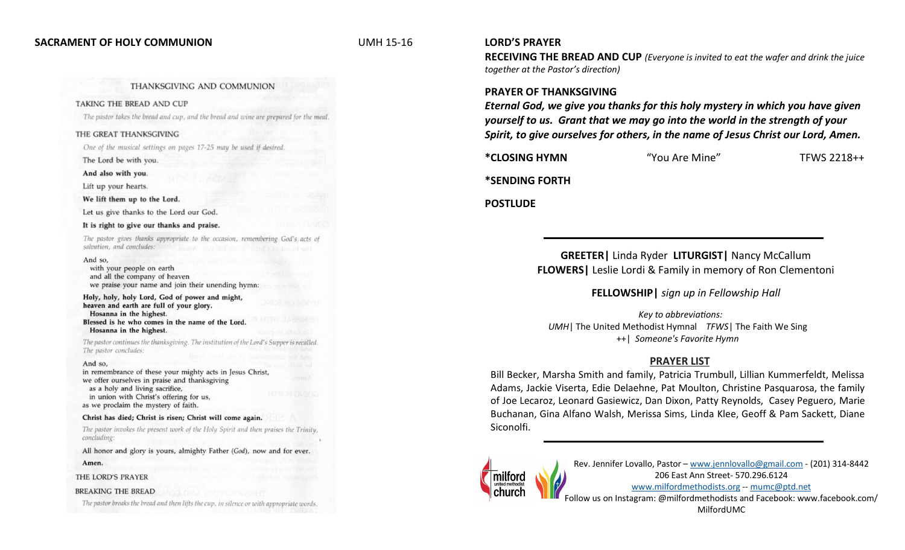### **SACRAMENT OF HOLY COMMUNION** UMH 15-16 **LORD'S PRAYER**

#### THANKSGIVING AND COMMUNION

#### TAKING THE BREAD AND CUP

The pastor takes the bread and cup, and the bread and wine are prepared for the meal.

#### THE GREAT THANKSGIVING

One of the musical settings on pages 17-25 may be used if desired.

The Lord be with you.

And also with you.

Lift up your hearts.

We lift them up to the Lord.

Let us give thanks to the Lord our God.

It is right to give our thanks and praise.

The pastor gives thanks appropriate to the occasion, remembering God's acts of salvation, and concludes: and concludes:

#### And so,

with your people on earth and all the company of heaven we praise your name and join their unending hymn:

Holy, holy, holy Lord, God of power and might, heaven and earth are full of your glory. Hosanna in the highest. Blessed is he who comes in the name of the Lord. Hosanna in the highest.

The pastor continues the thanksgiving. The institution of the Lord's Supper is recalled. The pastor concludes:

#### And so,

in remembrance of these your mighty acts in Jesus Christ, we offer ourselves in praise and thanksgiving as a holy and living sacrifice, in union with Christ's offering for us, as we proclaim the mystery of faith.

#### Christ has died; Christ is risen; Christ will come again.

The pastor invokes the present work of the Holy Spirit and then praises the Trinity, concluding:

All honor and glory is yours, almighty Father (God), now and for ever.

Amen.

#### THE LORD'S PRAYER

**BREAKING THE BREAD** 

The pastor breaks the bread and then lifts the cup, in silence or with appropriate words.

**RECEIVING THE BREAD AND CUP** *(Everyone is invited to eat the wafer and drink the juice together at the Pastor's direction)*

### **PRAYER OF THANKSGIVING**

*Eternal God, we give you thanks for this holy mystery in which you have given yourself to us. Grant that we may go into the world in the strength of your Spirit, to give ourselves for others, in the name of Jesus Christ our Lord, Amen.*

**\*CLOSING HYMN** "You Are Mine" TFWS 2218++

**\*SENDING FORTH** 

**POSTLUDE**

**GREETER|** Linda Ryder **LITURGIST|** Nancy McCallum **FLOWERS|** Leslie Lordi & Family in memory of Ron Clementoni

### **FELLOWSHIP|** *sign up in Fellowship Hall*

 *Key to abbreviations: UMH*| The United Methodist Hymnal *TFWS*| The Faith We Sing ++| *Someone's Favorite Hymn*

#### **PRAYER LIST**

Bill Becker, Marsha Smith and family, Patricia Trumbull, Lillian Kummerfeldt, Melissa Adams, Jackie Viserta, Edie Delaehne, Pat Moulton, Christine Pasquarosa, the family of Joe Lecaroz, Leonard Gasiewicz, Dan Dixon, Patty Reynolds, Casey Peguero, Marie Buchanan, Gina Alfano Walsh, Merissa Sims, Linda Klee, Geoff & Pam Sackett, Diane Siconolfi.



Rev. Jennifer Lovallo, Pastor – [www.jennlovallo@gmail.com](file:///C:/Shared/Bulls/2021/www.milfordmethodists@gmail.com) - (201) 314-8442 206 East Ann Street- 570.296.6124 [www.milfordmethodists.org](http://www.milfordmethodists.org) -- [mumc@ptd.net](mailto:mumc@ptd.net) Follow us on Instagram: @milfordmethodists and Facebook: www.facebook.com/ MilfordUMC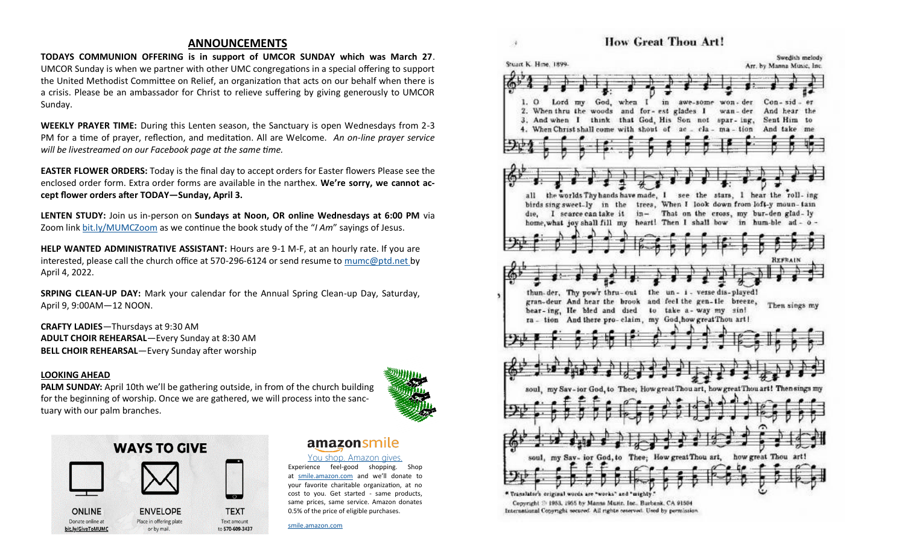### **ANNOUNCEMENTS**

**TODAYS COMMUNION OFFERING is in support of UMCOR SUNDAY which was March 27**. UMCOR Sunday is when we partner with other UMC congregations in a special offering to support the United Methodist Committee on Relief, an organization that acts on our behalf when there is a crisis. Please be an ambassador for Christ to relieve suffering by giving generously to UMCOR Sunday.

**WEEKLY PRAYER TIME:** During this Lenten season, the Sanctuary is open Wednesdays from 2-3 PM for a time of prayer, reflection, and meditation. All are Welcome. *An on-line prayer service will be livestreamed on our Facebook page at the same time.*

**EASTER FLOWER ORDERS:** Today is the final day to accept orders for Easter flowers Please see the enclosed order form. Extra order forms are available in the narthex. **We're sorry, we cannot accept flower orders after TODAY—Sunday, April 3.**

**LENTEN STUDY:** Join us in-person on **Sundays at Noon, OR online Wednesdays at 6:00 PM** via Zoom link <bit.ly/MUMCZoom> as we continue the book study of the "*I Am*" sayings of Jesus.

**HELP WANTED ADMINISTRATIVE ASSISTANT:** Hours are 9-1 M-F, at an hourly rate. If you are interested, please call the church office at 570-296-6124 or send resume to [mumc@ptd.net](mailto:mumc@ptd.net) by April 4, 2022.

**SRPING CLEAN-UP DAY:** Mark your calendar for the Annual Spring Clean-up Day, Saturday, April 9, 9:00AM—12 NOON.

**CRAFTY LADIES**—Thursdays at 9:30 AM **ADULT CHOIR REHEARSAL**—Every Sunday at 8:30 AM **BELL CHOIR REHEARSAL**—Every Sunday after worship

#### **LOOKING AHEAD**

**PALM SUNDAY:** April 10th we'll be gathering outside, in from of the church building for the beginning of worship. Once we are gathered, we will process into the sanctuary with our palm branches.





## amazonsmile

[You shop. Amazon gives.](https://smile.amazon.com/ref=nav_logo) Experience feel-good shopping. Shop at [smile.amazon.com](http://smile.amazon.com/) and we'll donate to your favorite charitable organization, at no cost to you. Get started - same products, same prices, same service. Amazon donates 0.5% of the price of eligible purchases.

#### [smile.amazon.com](http://smile.amazon.com/)